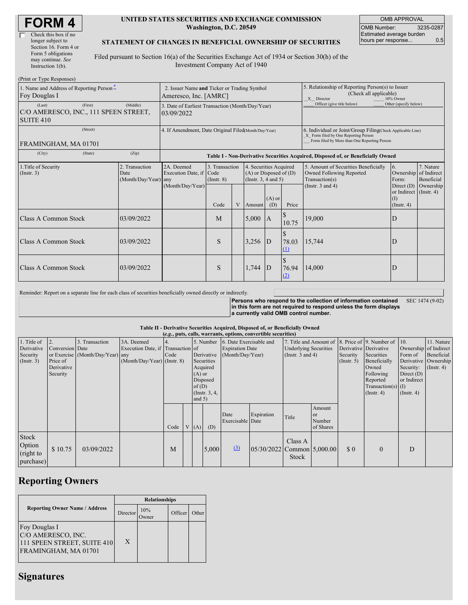| <b>FORM4</b> |
|--------------|
|--------------|

| Check this box if no  |
|-----------------------|
| longer subject to     |
| Section 16. Form 4 or |
| Form 5 obligations    |
| may continue. See     |
| Instruction 1(b).     |
|                       |

#### **UNITED STATES SECURITIES AND EXCHANGE COMMISSION Washington, D.C. 20549**

OMB APPROVAL OMB Number: 3235-0287 Estimated average burden hours per response... 0.5

### **STATEMENT OF CHANGES IN BENEFICIAL OWNERSHIP OF SECURITIES**

Filed pursuant to Section 16(a) of the Securities Exchange Act of 1934 or Section 30(h) of the Investment Company Act of 1940

| (Print or Type Responses)                                                          |                                                                      |                                                                                  |                                   |   |                                                                                  |                            |                                                                                                                                                    |                                                                                                                    |                                                      |                                      |
|------------------------------------------------------------------------------------|----------------------------------------------------------------------|----------------------------------------------------------------------------------|-----------------------------------|---|----------------------------------------------------------------------------------|----------------------------|----------------------------------------------------------------------------------------------------------------------------------------------------|--------------------------------------------------------------------------------------------------------------------|------------------------------------------------------|--------------------------------------|
| 1. Name and Address of Reporting Person-<br>Foy Douglas I                          | 2. Issuer Name and Ticker or Trading Symbol<br>Ameresco, Inc. [AMRC] |                                                                                  |                                   |   |                                                                                  |                            | 5. Relationship of Reporting Person(s) to Issuer<br>(Check all applicable)<br>X Director<br>10% Owner                                              |                                                                                                                    |                                                      |                                      |
| (First)<br>(Last)<br>C/O AMERESCO, INC., 111 SPEEN STREET,<br>SUITE <sub>410</sub> | 3. Date of Earliest Transaction (Month/Day/Year)<br>03/09/2022       |                                                                                  |                                   |   |                                                                                  | Officer (give title below) | Other (specify below)                                                                                                                              |                                                                                                                    |                                                      |                                      |
| (Street)<br>FRAMINGHAM, MA 01701                                                   | 4. If Amendment, Date Original Filed(Month/Day/Year)                 |                                                                                  |                                   |   |                                                                                  |                            | 6. Individual or Joint/Group Filing Check Applicable Line)<br>X Form filed by One Reporting Person<br>Form filed by More than One Reporting Person |                                                                                                                    |                                                      |                                      |
| (City)<br>(State)                                                                  | (Zip)                                                                | Table I - Non-Derivative Securities Acquired, Disposed of, or Beneficially Owned |                                   |   |                                                                                  |                            |                                                                                                                                                    |                                                                                                                    |                                                      |                                      |
| 2. Transaction<br>1. Title of Security<br>(Insert. 3)<br>Date<br>(Month/Day/Year)  |                                                                      | 2A. Deemed<br>Execution Date, if Code<br>any                                     | 3. Transaction<br>$($ Instr. $8)$ |   | 4. Securities Acquired<br>$(A)$ or Disposed of $(D)$<br>(Instr. $3, 4$ and $5$ ) |                            |                                                                                                                                                    | 5. Amount of Securities Beneficially<br><b>Owned Following Reported</b><br>Transaction(s)<br>(Instr. $3$ and $4$ ) | 6.<br>Ownership of Indirect<br>Form:<br>Direct $(D)$ | 7. Nature<br>Beneficial<br>Ownership |
|                                                                                    |                                                                      | (Month/Day/Year)                                                                 | Code                              | V | Amount                                                                           | $(A)$ or<br>(D)            | Price                                                                                                                                              |                                                                                                                    | or Indirect (Instr. 4)<br>(1)<br>(Insert. 4)         |                                      |
| <b>Class A Common Stock</b>                                                        | 03/09/2022                                                           |                                                                                  | M                                 |   | 5,000                                                                            | IA.                        | 10.75                                                                                                                                              | 19,000                                                                                                             | D                                                    |                                      |
| Class A Common Stock                                                               | 03/09/2022                                                           |                                                                                  | S                                 |   | 3,256                                                                            | ID                         | 78.03<br>$\Omega$                                                                                                                                  | 15,744                                                                                                             | D                                                    |                                      |
| <b>Class A Common Stock</b>                                                        | 03/09/2022                                                           |                                                                                  | S                                 |   | 1,744                                                                            | ID                         | 76.94<br>(2)                                                                                                                                       | 14,000                                                                                                             | D                                                    |                                      |

Reminder: Report on a separate line for each class of securities beneficially owned directly or indirectly.

**Persons who respond to the collection of information contained in this form are not required to respond unless the form displays a currently valid OMB control number.** SEC 1474 (9-02)

**Table II - Derivative Securities Acquired, Disposed of, or Beneficially Owned**

|                                                      | (e.g., puts, calls, warrants, options, convertible securities) |                                                    |                                                                                |      |  |                               |                                                                                  |                                                                       |                                    |                                                                                                              |                                            |                                                    |                                                                                                     |                                                                                                  |                                                                      |
|------------------------------------------------------|----------------------------------------------------------------|----------------------------------------------------|--------------------------------------------------------------------------------|------|--|-------------------------------|----------------------------------------------------------------------------------|-----------------------------------------------------------------------|------------------------------------|--------------------------------------------------------------------------------------------------------------|--------------------------------------------|----------------------------------------------------|-----------------------------------------------------------------------------------------------------|--------------------------------------------------------------------------------------------------|----------------------------------------------------------------------|
| 1. Title of<br>Derivative<br>Security<br>(Insert. 3) | Conversion Date<br>Price of<br>Derivative<br>Security          | 3. Transaction<br>or Exercise (Month/Day/Year) any | 3A. Deemed<br>Execution Date, if Transaction of<br>(Month/Day/Year) (Instr. 8) | Code |  | $(A)$ or<br>of(D)<br>and $5)$ | 5. Number<br>Derivative<br>Securities<br>Acquired<br>Disposed<br>(Instr. $3, 4,$ | 6. Date Exercisable and<br><b>Expiration Date</b><br>(Month/Day/Year) |                                    | 7. Title and Amount of 8. Price of 9. Number of 10.<br><b>Underlying Securities</b><br>(Instr. $3$ and $4$ ) |                                            | Derivative Derivative<br>Security<br>(Insert. 5)   | Securities<br>Beneficially<br>Owned<br>Following<br>Reported<br>$Transaction(s)$ (I)<br>(Insert. 4) | Ownership of Indirect<br>Form of<br>Security:<br>Direct $(D)$<br>or Indirect<br>$($ Instr. 4 $)$ | 11. Nature<br>Beneficial<br>Derivative Ownership<br>$($ Instr. 4 $)$ |
|                                                      |                                                                |                                                    |                                                                                | Code |  | V(A)                          | (D)                                                                              | Date<br>Exercisable Date                                              | Expiration                         | Title                                                                                                        | Amount<br><b>or</b><br>Number<br>of Shares |                                                    |                                                                                                     |                                                                                                  |                                                                      |
| Stock<br>Option<br>(right to<br>purchase)            | \$10.75                                                        | 03/09/2022                                         |                                                                                | M    |  |                               | 5,000                                                                            | (3)                                                                   | $ 05/30/2022 $ Common $ 5,000.00 $ | Class A<br>Stock                                                                                             |                                            | $\boldsymbol{\mathsf{S}}\,\boldsymbol{\mathsf{0}}$ | $\mathbf{0}$                                                                                        | D                                                                                                |                                                                      |

# **Reporting Owners**

|                                                                                            | <b>Relationships</b> |                     |         |       |  |  |  |
|--------------------------------------------------------------------------------------------|----------------------|---------------------|---------|-------|--|--|--|
| <b>Reporting Owner Name / Address</b>                                                      | Director             | 10%<br><b>Twner</b> | Officer | Other |  |  |  |
| Foy Douglas I<br>C/O AMERESCO, INC.<br>111 SPEEN STREET, SUITE 410<br>FRAMINGHAM, MA 01701 | X                    |                     |         |       |  |  |  |

## **Signatures**